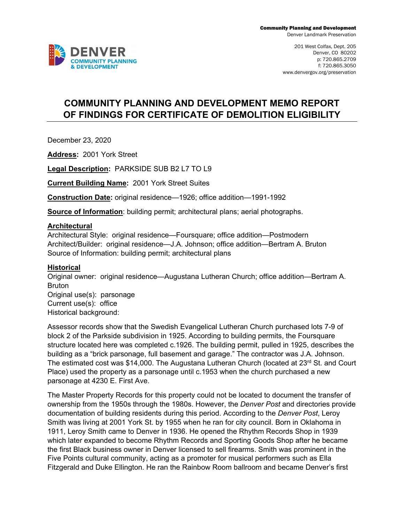

# **COMMUNITY PLANNING AND DEVELOPMENT MEMO REPORT OF FINDINGS FOR CERTIFICATE OF DEMOLITION ELIGIBILITY**

December 23, 2020

**Address:** 2001 York Street

**Legal Description:** PARKSIDE SUB B2 L7 TO L9

**Current Building Name:** 2001 York Street Suites

**Construction Date:** original residence—1926; office addition—1991-1992

**Source of Information**: building permit; architectural plans; aerial photographs.

### **Architectural**

Architectural Style: original residence—Foursquare; office addition—Postmodern Architect/Builder: original residence—J.A. Johnson; office addition—Bertram A. Bruton Source of Information: building permit; architectural plans

#### **Historical**

Original owner: original residence—Augustana Lutheran Church; office addition—Bertram A. Bruton Original use(s): parsonage Current use(s): office Historical background:

Assessor records show that the Swedish Evangelical Lutheran Church purchased lots 7-9 of block 2 of the Parkside subdivision in 1925. According to building permits, the Foursquare structure located here was completed c.1926. The building permit, pulled in 1925, describes the building as a "brick parsonage, full basement and garage." The contractor was J.A. Johnson. The estimated cost was \$14,000. The Augustana Lutheran Church (located at 23<sup>rd</sup> St. and Court Place) used the property as a parsonage until c.1953 when the church purchased a new parsonage at 4230 E. First Ave.

The Master Property Records for this property could not be located to document the transfer of ownership from the 1950s through the 1980s. However, the *Denver Post* and directories provide documentation of building residents during this period. According to the *Denver Post*, Leroy Smith was living at 2001 York St. by 1955 when he ran for city council. Born in Oklahoma in 1911, Leroy Smith came to Denver in 1936. He opened the Rhythm Records Shop in 1939 which later expanded to become Rhythm Records and Sporting Goods Shop after he became the first Black business owner in Denver licensed to sell firearms. Smith was prominent in the Five Points cultural community, acting as a promoter for musical performers such as Ella Fitzgerald and Duke Ellington. He ran the Rainbow Room ballroom and became Denver's first

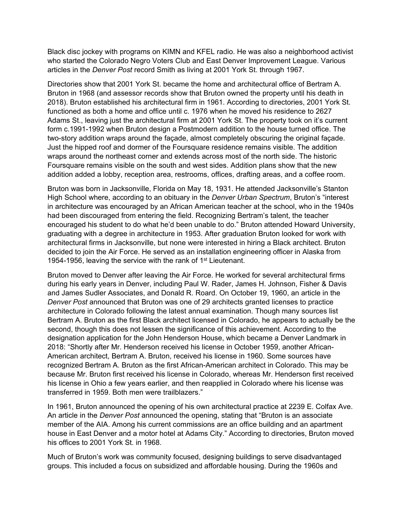Black disc jockey with programs on KIMN and KFEL radio. He was also a neighborhood activist who started the Colorado Negro Voters Club and East Denver Improvement League. Various articles in the *Denver Post* record Smith as living at 2001 York St. through 1967.

Directories show that 2001 York St. became the home and architectural office of Bertram A. Bruton in 1968 (and assessor records show that Bruton owned the property until his death in 2018). Bruton established his architectural firm in 1961. According to directories, 2001 York St. functioned as both a home and office until c. 1976 when he moved his residence to 2627 Adams St., leaving just the architectural firm at 2001 York St. The property took on it's current form c.1991-1992 when Bruton design a Postmodern addition to the house turned office. The two-story addition wraps around the façade, almost completely obscuring the original façade. Just the hipped roof and dormer of the Foursquare residence remains visible. The addition wraps around the northeast corner and extends across most of the north side. The historic Foursquare remains visible on the south and west sides. Addition plans show that the new addition added a lobby, reception area, restrooms, offices, drafting areas, and a coffee room.

Bruton was born in Jacksonville, Florida on May 18, 1931. He attended Jacksonville's Stanton High School where, according to an obituary in the *Denver Urban Spectrum*, Bruton's "interest in architecture was encouraged by an African American teacher at the school, who in the 1940s had been discouraged from entering the field. Recognizing Bertram's talent, the teacher encouraged his student to do what he'd been unable to do." Bruton attended Howard University, graduating with a degree in architecture in 1953. After graduation Bruton looked for work with architectural firms in Jacksonville, but none were interested in hiring a Black architect. Bruton decided to join the Air Force. He served as an installation engineering officer in Alaska from 1954-1956, leaving the service with the rank of 1<sup>st</sup> Lieutenant.

Bruton moved to Denver after leaving the Air Force. He worked for several architectural firms during his early years in Denver, including Paul W. Rader, James H. Johnson, Fisher & Davis and James Sudler Associates, and Donald R. Roard. On October 19, 1960, an article in the *Denver Post* announced that Bruton was one of 29 architects granted licenses to practice architecture in Colorado following the latest annual examination. Though many sources list Bertram A. Bruton as the first Black architect licensed in Colorado, he appears to actually be the second, though this does not lessen the significance of this achievement. According to the designation application for the John Henderson House, which became a Denver Landmark in 2018: "Shortly after Mr. Henderson received his license in October 1959, another African-American architect, Bertram A. Bruton, received his license in 1960. Some sources have recognized Bertram A. Bruton as the first African-American architect in Colorado. This may be because Mr. Bruton first received his license in Colorado, whereas Mr. Henderson first received his license in Ohio a few years earlier, and then reapplied in Colorado where his license was transferred in 1959. Both men were trailblazers."

In 1961, Bruton announced the opening of his own architectural practice at 2239 E. Colfax Ave. An article in the *Denver Post* announced the opening, stating that "Bruton is an associate member of the AIA. Among his current commissions are an office building and an apartment house in East Denver and a motor hotel at Adams City." According to directories, Bruton moved his offices to 2001 York St. in 1968.

Much of Bruton's work was community focused, designing buildings to serve disadvantaged groups. This included a focus on subsidized and affordable housing. During the 1960s and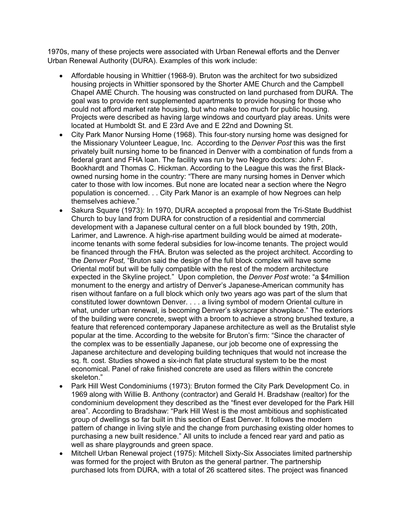1970s, many of these projects were associated with Urban Renewal efforts and the Denver Urban Renewal Authority (DURA). Examples of this work include:

- Affordable housing in Whittier (1968-9). Bruton was the architect for two subsidized housing projects in Whittier sponsored by the Shorter AME Church and the Campbell Chapel AME Church. The housing was constructed on land purchased from DURA. The goal was to provide rent supplemented apartments to provide housing for those who could not afford market rate housing, but who make too much for public housing. Projects were described as having large windows and courtyard play areas. Units were located at Humboldt St. and E 23rd Ave and E 22nd and Downing St.
- City Park Manor Nursing Home (1968). This four-story nursing home was designed for the Missionary Volunteer League, Inc. According to the *Denver Post* this was the first privately built nursing home to be financed in Denver with a combination of funds from a federal grant and FHA loan. The facility was run by two Negro doctors: John F. Bookhardt and Thomas C. Hickman. According to the League this was the first Blackowned nursing home in the country: "There are many nursing homes in Denver which cater to those with low incomes. But none are located near a section where the Negro population is concerned. . . City Park Manor is an example of how Negroes can help themselves achieve."
- Sakura Square (1973): In 1970, DURA accepted a proposal from the Tri-State Buddhist Church to buy land from DURA for construction of a residential and commercial development with a Japanese cultural center on a full block bounded by 19th, 20th, Larimer, and Lawrence. A high-rise apartment building would be aimed at moderateincome tenants with some federal subsidies for low-income tenants. The project would be financed through the FHA. Bruton was selected as the project architect. According to the *Denver Post,* "Bruton said the design of the full block complex will have some Oriental motif but will be fully compatible with the rest of the modern architecture expected in the Skyline project." Upon completion, the *Denver Post* wrote: "a \$4million monument to the energy and artistry of Denver's Japanese-American community has risen without fanfare on a full block which only two years ago was part of the slum that constituted lower downtown Denver. . . . a living symbol of modern Oriental culture in what, under urban renewal, is becoming Denver's skyscraper showplace." The exteriors of the building were concrete, swept with a broom to achieve a strong brushed texture, a feature that referenced contemporary Japanese architecture as well as the Brutalist style popular at the time. According to the website for Bruton's firm: "Since the character of the complex was to be essentially Japanese, our job become one of expressing the Japanese architecture and developing building techniques that would not increase the sq. ft. cost. Studies showed a six-inch flat plate structural system to be the most economical. Panel of rake finished concrete are used as fillers within the concrete skeleton."
- Park Hill West Condominiums (1973): Bruton formed the City Park Development Co. in 1969 along with Willie B. Anthony (contractor) and Gerald H. Bradshaw (realtor) for the condominium development they described as the "finest ever developed for the Park Hill area". According to Bradshaw: "Park Hill West is the most ambitious and sophisticated group of dwellings so far built in this section of East Denver. It follows the modern pattern of change in living style and the change from purchasing existing older homes to purchasing a new built residence." All units to include a fenced rear yard and patio as well as share playgrounds and green space.
- Mitchell Urban Renewal project (1975): Mitchell Sixty-Six Associates limited partnership was formed for the project with Bruton as the general partner. The partnership purchased lots from DURA, with a total of 26 scattered sites. The project was financed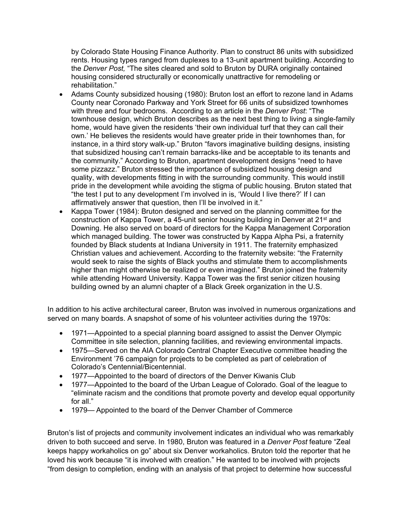by Colorado State Housing Finance Authority. Plan to construct 86 units with subsidized rents. Housing types ranged from duplexes to a 13-unit apartment building. According to the *Denver Post,* "The sites cleared and sold to Bruton by DURA originally contained housing considered structurally or economically unattractive for remodeling or rehabilitation."

- Adams County subsidized housing (1980): Bruton lost an effort to rezone land in Adams County near Coronado Parkway and York Street for 66 units of subsidized townhomes with three and four bedrooms. According to an article in the *Denver Post*: "The townhouse design, which Bruton describes as the next best thing to living a single-family home, would have given the residents 'their own individual turf that they can call their own.' He believes the residents would have greater pride in their townhomes than, for instance, in a third story walk-up." Bruton "favors imaginative building designs, insisting that subsidized housing can't remain barracks-like and be acceptable to its tenants and the community." According to Bruton, apartment development designs "need to have some pizzazz." Bruton stressed the importance of subsidized housing design and quality, with developments fitting in with the surrounding community. This would instill pride in the development while avoiding the stigma of public housing. Bruton stated that "the test I put to any development I'm involved in is, 'Would I live there?' If I can affirmatively answer that question, then I'll be involved in it."
- Kappa Tower (1984): Bruton designed and served on the planning committee for the construction of Kappa Tower, a 45-unit senior housing building in Denver at 21 $\mathrm{^{st}}$  and Downing. He also served on board of directors for the Kappa Management Corporation which managed building. The tower was constructed by Kappa Alpha Psi, a fraternity founded by Black students at Indiana University in 1911. The fraternity emphasized Christian values and achievement. According to the fraternity website: "the Fraternity would seek to raise the sights of Black youths and stimulate them to accomplishments higher than might otherwise be realized or even imagined." Bruton joined the fraternity while attending Howard University. Kappa Tower was the first senior citizen housing building owned by an alumni chapter of a Black Greek organization in the U.S.

In addition to his active architectural career, Bruton was involved in numerous organizations and served on many boards. A snapshot of some of his volunteer activities during the 1970s:

- 1971—Appointed to a special planning board assigned to assist the Denver Olympic Committee in site selection, planning facilities, and reviewing environmental impacts.
- 1975—Served on the AIA Colorado Central Chapter Executive committee heading the Environment '76 campaign for projects to be completed as part of celebration of Colorado's Centennial/Bicentennial.
- 1977—Appointed to the board of directors of the Denver Kiwanis Club
- 1977—Appointed to the board of the Urban League of Colorado. Goal of the league to "eliminate racism and the conditions that promote poverty and develop equal opportunity for all."
- 1979— Appointed to the board of the Denver Chamber of Commerce

Bruton's list of projects and community involvement indicates an individual who was remarkably driven to both succeed and serve. In 1980, Bruton was featured in a *Denver Post* feature "Zeal keeps happy workaholics on go" about six Denver workaholics. Bruton told the reporter that he loved his work because "it is involved with creation." He wanted to be involved with projects "from design to completion, ending with an analysis of that project to determine how successful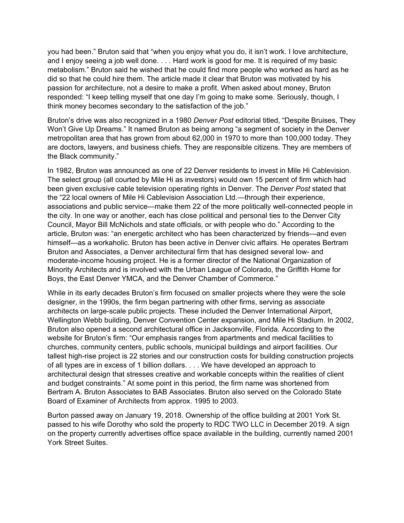you had been." Bruton said that "when you enjoy what you do, it isn't work. I love architecture, and I enjoy seeing a job well done. . . . Hard work is good for me. It is required of my basic metabolism." Bruton said he wished that he could find more people who worked as hard as he did so that he could hire them. The article made it clear that Bruton was motivated by his passion for architecture, not a desire to make a profit. When asked about money, Bruton responded: "I keep telling myself that one day I'm going to make some. Seriously, though, I think money becomes secondary to the satisfaction of the job."

Bruton's drive was also recognized in a 1980 *Denver Post* editorial titled, "Despite Bruises, They Won't Give Up Dreams." It named Bruton as being among "a segment of society in the Denver metropolitan area that has grown from about 62,000 in 1970 to more than 100,000 today. They are doctors, lawyers, and business chiefs. They are responsible citizens. They are members of the Black community."

In 1982, Bruton was announced as one of 22 Denver residents to invest in Mile Hi Cablevision. The select group (all courted by Mile Hi as investors) would own 15 percent of firm which had been given exclusive cable television operating rights in Denver. The *Denver Post* stated that the "22 local owners of Mile Hi Cablevision Association Ltd.—through their experience, associations and public service—make them 22 of the more politically well-connected people in the city. In one way or another, each has close political and personal ties to the Denver City Council, Mayor Bill McNichols and state officials, or with people who do." According to the article, Bruton was: "an energetic architect who has been characterized by friends—and even himself—as a workaholic. Bruton has been active in Denver civic affairs. He operates Bertram Bruton and Associates, a Denver architectural firm that has designed several low- and moderate-income housing project. He is a former director of the National Organization of Minority Architects and is involved with the Urban League of Colorado, the Griffith Home for Boys, the East Denver YMCA, and the Denver Chamber of Commerce."

While in its early decades Bruton's firm focused on smaller projects where they were the sole designer, in the 1990s, the firm began partnering with other firms, serving as associate architects on large-scale public projects. These included the Denver International Airport, Wellington Webb building, Denver Convention Center expansion, and Mile Hi Stadium. In 2002, Bruton also opened a second architectural office in Jacksonville, Florida. According to the website for Bruton's firm: "Our emphasis ranges from apartments and medical facilities to churches, community centers, public schools, municipal buildings and airport facilities. Our tallest high-rise project is 22 stories and our construction costs for building construction projects of all types are in excess of 1 billion dollars. . . . We have developed an approach to architectural design that stresses creative and workable concepts within the realities of client and budget constraints." At some point in this period, the firm name was shortened from Bertram A. Bruton Associates to BAB Associates. Bruton also served on the Colorado State Board of Examiner of Architects from approx. 1995 to 2003.

Burton passed away on January 19, 2018. Ownership of the office building at 2001 York St. passed to his wife Dorothy who sold the property to RDC TWO LLC in December 2019. A sign on the property currently advertises office space available in the building, currently named 2001 York Street Suites.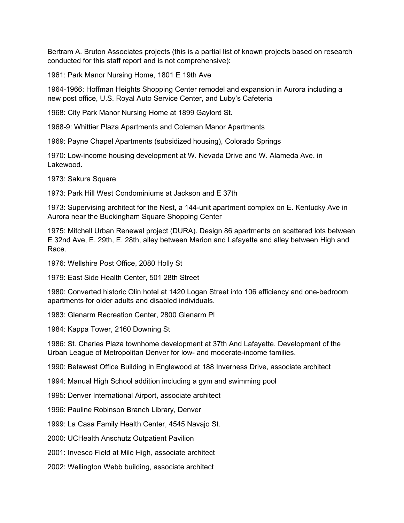Bertram A. Bruton Associates projects (this is a partial list of known projects based on research conducted for this staff report and is not comprehensive):

1961: Park Manor Nursing Home, 1801 E 19th Ave

1964-1966: Hoffman Heights Shopping Center remodel and expansion in Aurora including a new post office, U.S. Royal Auto Service Center, and Luby's Cafeteria

1968: City Park Manor Nursing Home at 1899 Gaylord St.

1968-9: Whittier Plaza Apartments and Coleman Manor Apartments

1969: Payne Chapel Apartments (subsidized housing), Colorado Springs

1970: Low-income housing development at W. Nevada Drive and W. Alameda Ave. in Lakewood.

1973: Sakura Square

1973: Park Hill West Condominiums at Jackson and E 37th

1973: Supervising architect for the Nest, a 144-unit apartment complex on E. Kentucky Ave in Aurora near the Buckingham Square Shopping Center

1975: Mitchell Urban Renewal project (DURA). Design 86 apartments on scattered lots between E 32nd Ave, E. 29th, E. 28th, alley between Marion and Lafayette and alley between High and Race.

1976: Wellshire Post Office, 2080 Holly St

1979: East Side Health Center, 501 28th Street

1980: Converted historic Olin hotel at 1420 Logan Street into 106 efficiency and one-bedroom apartments for older adults and disabled individuals.

1983: Glenarm Recreation Center, 2800 Glenarm Pl

1984: Kappa Tower, 2160 Downing St

1986: St. Charles Plaza townhome development at 37th And Lafayette. Development of the Urban League of Metropolitan Denver for low- and moderate-income families.

1990: Betawest Office Building in Englewood at 188 Inverness Drive, associate architect

1994: Manual High School addition including a gym and swimming pool

1995: Denver International Airport, associate architect

1996: Pauline Robinson Branch Library, Denver

1999: La Casa Family Health Center, 4545 Navajo St.

2000: UCHealth Anschutz Outpatient Pavilion

2001: Invesco Field at Mile High, associate architect

2002: Wellington Webb building, associate architect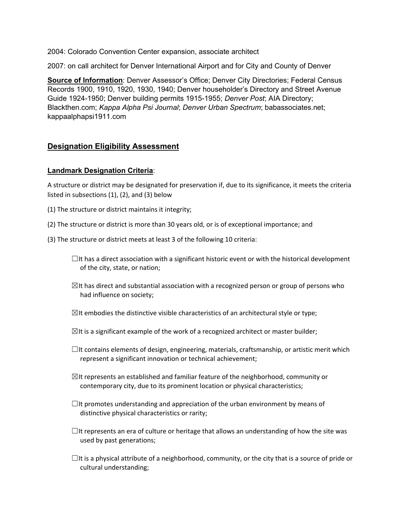2004: Colorado Convention Center expansion, associate architect

2007: on call architect for Denver International Airport and for City and County of Denver

**Source of Information**: Denver Assessor's Office; Denver City Directories; Federal Census Records 1900, 1910, 1920, 1930, 1940; Denver householder's Directory and Street Avenue Guide 1924-1950; Denver building permits 1915-1955; *Denver Post*; AIA Directory; Blackthen.com; *Kappa Alpha Psi Journal*; *Denver Urban Spectrum*; babassociates.net; kappaalphapsi1911.com

# **Designation Eligibility Assessment**

## **Landmark Designation Criteria**:

A structure or district may be designated for preservation if, due to its significance, it meets the criteria listed in subsections (1), (2), and (3) below

- (1) The structure or district maintains it integrity;
- (2) The structure or district is more than 30 years old, or is of exceptional importance; and
- (3) The structure or district meets at least 3 of the following 10 criteria:

 $\Box$ It has a direct association with a significant historic event or with the historical development of the city, state, or nation;

- $\boxtimes$ It has direct and substantial association with a recognized person or group of persons who had influence on society;
- $\boxtimes$ It embodies the distinctive visible characteristics of an architectural style or type;
- $\boxtimes$ It is a significant example of the work of a recognized architect or master builder;
- $\Box$ It contains elements of design, engineering, materials, craftsmanship, or artistic merit which represent a significant innovation or technical achievement;
- $\boxtimes$ It represents an established and familiar feature of the neighborhood, community or contemporary city, due to its prominent location or physical characteristics;
- $\Box$ It promotes understanding and appreciation of the urban environment by means of distinctive physical characteristics or rarity;
- $\Box$ It represents an era of culture or heritage that allows an understanding of how the site was used by past generations;
- $\Box$ It is a physical attribute of a neighborhood, community, or the city that is a source of pride or cultural understanding;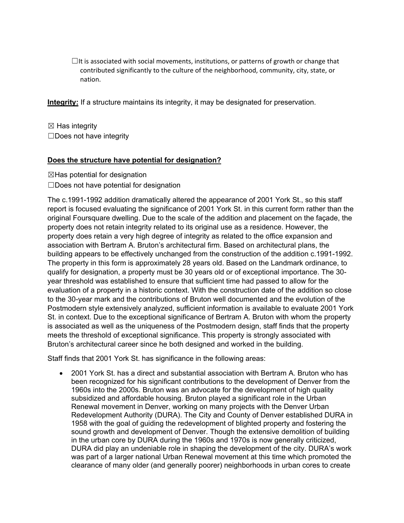$\Box$ It is associated with social movements, institutions, or patterns of growth or change that contributed significantly to the culture of the neighborhood, community, city, state, or nation.

**Integrity:** If a structure maintains its integrity, it may be designated for preservation.

 $\boxtimes$  Has integrity ☐Does not have integrity

## **Does the structure have potential for designation?**

 $\boxtimes$ Has potential for designation

☐Does not have potential for designation

The c.1991-1992 addition dramatically altered the appearance of 2001 York St., so this staff report is focused evaluating the significance of 2001 York St. in this current form rather than the original Foursquare dwelling. Due to the scale of the addition and placement on the façade, the property does not retain integrity related to its original use as a residence. However, the property does retain a very high degree of integrity as related to the office expansion and association with Bertram A. Bruton's architectural firm. Based on architectural plans, the building appears to be effectively unchanged from the construction of the addition c.1991-1992. The property in this form is approximately 28 years old. Based on the Landmark ordinance, to qualify for designation, a property must be 30 years old or of exceptional importance. The 30 year threshold was established to ensure that sufficient time had passed to allow for the evaluation of a property in a historic context. With the construction date of the addition so close to the 30-year mark and the contributions of Bruton well documented and the evolution of the Postmodern style extensively analyzed, sufficient information is available to evaluate 2001 York St. in context. Due to the exceptional significance of Bertram A. Bruton with whom the property is associated as well as the uniqueness of the Postmodern design, staff finds that the property meets the threshold of exceptional significance. This property is strongly associated with Bruton's architectural career since he both designed and worked in the building.

Staff finds that 2001 York St. has significance in the following areas:

• 2001 York St. has a direct and substantial association with Bertram A. Bruton who has been recognized for his significant contributions to the development of Denver from the 1960s into the 2000s. Bruton was an advocate for the development of high quality subsidized and affordable housing. Bruton played a significant role in the Urban Renewal movement in Denver, working on many projects with the Denver Urban Redevelopment Authority (DURA). The City and County of Denver established DURA in 1958 with the goal of guiding the redevelopment of blighted property and fostering the sound growth and development of Denver. Though the extensive demolition of building in the urban core by DURA during the 1960s and 1970s is now generally criticized, DURA did play an undeniable role in shaping the development of the city. DURA's work was part of a larger national Urban Renewal movement at this time which promoted the clearance of many older (and generally poorer) neighborhoods in urban cores to create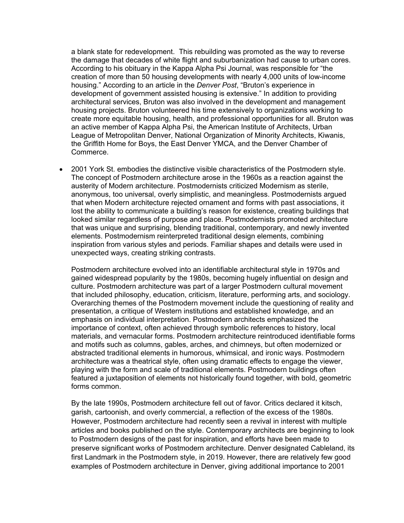a blank state for redevelopment. This rebuilding was promoted as the way to reverse the damage that decades of white flight and suburbanization had cause to urban cores. According to his obituary in the Kappa Alpha Psi Journal, was responsible for "the creation of more than 50 housing developments with nearly 4,000 units of low-income housing." According to an article in the *Denver Post*, "Bruton's experience in development of government assisted housing is extensive." In addition to providing architectural services, Bruton was also involved in the development and management housing projects. Bruton volunteered his time extensively to organizations working to create more equitable housing, health, and professional opportunities for all. Bruton was an active member of Kappa Alpha Psi, the American Institute of Architects, Urban League of Metropolitan Denver, National Organization of Minority Architects, Kiwanis, the Griffith Home for Boys, the East Denver YMCA, and the Denver Chamber of Commerce.

• 2001 York St. embodies the distinctive visible characteristics of the Postmodern style. The concept of Postmodern architecture arose in the 1960s as a reaction against the austerity of Modern architecture. Postmodernists criticized Modernism as sterile, anonymous, too universal, overly simplistic, and meaningless. Postmodernists argued that when Modern architecture rejected ornament and forms with past associations, it lost the ability to communicate a building's reason for existence, creating buildings that looked similar regardless of purpose and place. Postmodernists promoted architecture that was unique and surprising, blending traditional, contemporary, and newly invented elements. Postmodernism reinterpreted traditional design elements, combining inspiration from various styles and periods. Familiar shapes and details were used in unexpected ways, creating striking contrasts.

Postmodern architecture evolved into an identifiable architectural style in 1970s and gained widespread popularity by the 1980s, becoming hugely influential on design and culture. Postmodern architecture was part of a larger Postmodern cultural movement that included philosophy, education, criticism, literature, performing arts, and sociology. Overarching themes of the Postmodern movement include the questioning of reality and presentation, a critique of Western institutions and established knowledge, and an emphasis on individual interpretation. Postmodern architects emphasized the importance of context, often achieved through symbolic references to history, local materials, and vernacular forms. Postmodern architecture reintroduced identifiable forms and motifs such as columns, gables, arches, and chimneys, but often modernized or abstracted traditional elements in humorous, whimsical, and ironic ways. Postmodern architecture was a theatrical style, often using dramatic effects to engage the viewer, playing with the form and scale of traditional elements. Postmodern buildings often featured a juxtaposition of elements not historically found together, with bold, geometric forms common.

By the late 1990s, Postmodern architecture fell out of favor. Critics declared it kitsch, garish, cartoonish, and overly commercial, a reflection of the excess of the 1980s. However, Postmodern architecture had recently seen a revival in interest with multiple articles and books published on the style. Contemporary architects are beginning to look to Postmodern designs of the past for inspiration, and efforts have been made to preserve significant works of Postmodern architecture. Denver designated Cableland, its first Landmark in the Postmodern style, in 2019. However, there are relatively few good examples of Postmodern architecture in Denver, giving additional importance to 2001